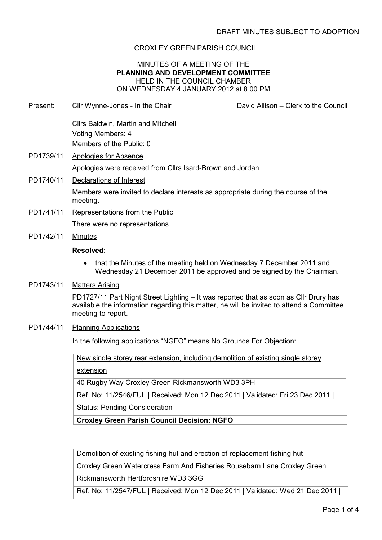# CROXLEY GREEN PARISH COUNCIL

# MINUTES OF A MEETING OF THE PLANNING AND DEVELOPMENT COMMITTEE HELD IN THE COUNCIL CHAMBER ON WEDNESDAY 4 JANUARY 2012 at 8.00 PM

Present: Cllr Wynne-Jones - In the Chair **David Allison – Clerk to the Council** 

Cllrs Baldwin, Martin and Mitchell Voting Members: 4 Members of the Public: 0

- PD1739/11 Apologies for Absence Apologies were received from Cllrs Isard-Brown and Jordan.
- PD1740/11 Declarations of Interest

Members were invited to declare interests as appropriate during the course of the meeting.

PD1741/11 Representations from the Public

There were no representations.

PD1742/11 Minutes

# Resolved:

- that the Minutes of the meeting held on Wednesday 7 December 2011 and Wednesday 21 December 2011 be approved and be signed by the Chairman.
- PD1743/11 Matters Arising

PD1727/11 Part Night Street Lighting – It was reported that as soon as Cllr Drury has available the information regarding this matter, he will be invited to attend a Committee meeting to report.

PD1744/11 Planning Applications

In the following applications "NGFO" means No Grounds For Objection:

New single storey rear extension, including demolition of existing single storey

extension

40 Rugby Way Croxley Green Rickmansworth WD3 3PH

Ref. No: 11/2546/FUL | Received: Mon 12 Dec 2011 | Validated: Fri 23 Dec 2011 | Status: Pending Consideration

Croxley Green Parish Council Decision: NGFO

Demolition of existing fishing hut and erection of replacement fishing hut

Croxley Green Watercress Farm And Fisheries Rousebarn Lane Croxley Green

Rickmansworth Hertfordshire WD3 3GG

Ref. No: 11/2547/FUL | Received: Mon 12 Dec 2011 | Validated: Wed 21 Dec 2011 |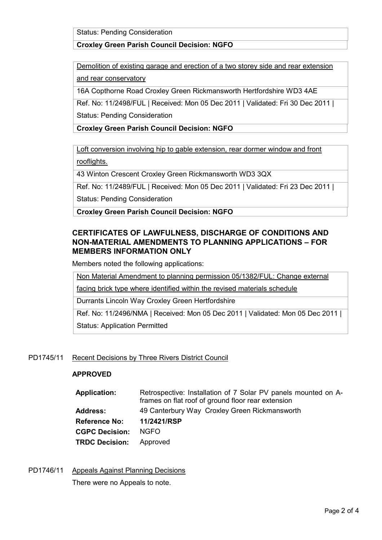Status: Pending Consideration

# Croxley Green Parish Council Decision: NGFO

Demolition of existing garage and erection of a two storey side and rear extension and rear conservatory

16A Copthorne Road Croxley Green Rickmansworth Hertfordshire WD3 4AE

Ref. No: 11/2498/FUL | Received: Mon 05 Dec 2011 | Validated: Fri 30 Dec 2011 | Status: Pending Consideration

# Croxley Green Parish Council Decision: NGFO

Loft conversion involving hip to gable extension, rear dormer window and front rooflights.

43 Winton Crescent Croxley Green Rickmansworth WD3 3QX

Ref. No: 11/2489/FUL | Received: Mon 05 Dec 2011 | Validated: Fri 23 Dec 2011 |

Status: Pending Consideration

Croxley Green Parish Council Decision: NGFO

# CERTIFICATES OF LAWFULNESS, DISCHARGE OF CONDITIONS AND NON-MATERIAL AMENDMENTS TO PLANNING APPLICATIONS – FOR MEMBERS INFORMATION ONLY

Members noted the following applications:

Non Material Amendment to planning permission 05/1382/FUL: Change external

facing brick type where identified within the revised materials schedule

Durrants Lincoln Way Croxley Green Hertfordshire

Ref. No: 11/2496/NMA | Received: Mon 05 Dec 2011 | Validated: Mon 05 Dec 2011 |

Status: Application Permitted

# PD1745/11 Recent Decisions by Three Rivers District Council

# APPROVED

| <b>Application:</b>   | Retrospective: Installation of 7 Solar PV panels mounted on A-<br>frames on flat roof of ground floor rear extension |
|-----------------------|----------------------------------------------------------------------------------------------------------------------|
| <b>Address:</b>       | 49 Canterbury Way Croxley Green Rickmansworth                                                                        |
| <b>Reference No:</b>  | 11/2421/RSP                                                                                                          |
| <b>CGPC Decision:</b> | NGFO.                                                                                                                |
| <b>TRDC Decision:</b> | Approved                                                                                                             |
|                       |                                                                                                                      |

# PD1746/11 Appeals Against Planning Decisions

There were no Appeals to note.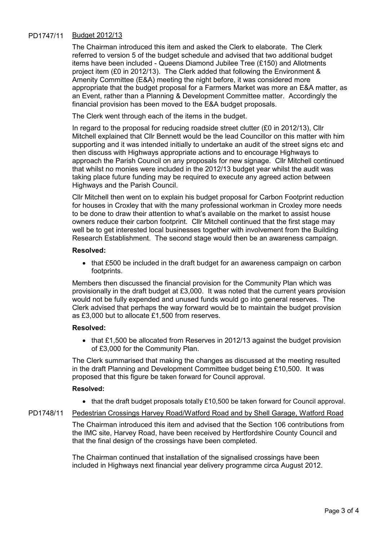# PD1747/11 Budget 2012/13

The Chairman introduced this item and asked the Clerk to elaborate. The Clerk referred to version 5 of the budget schedule and advised that two additional budget items have been included - Queens Diamond Jubilee Tree (£150) and Allotments project item (£0 in 2012/13). The Clerk added that following the Environment & Amenity Committee (E&A) meeting the night before, it was considered more appropriate that the budget proposal for a Farmers Market was more an E&A matter, as an Event, rather than a Planning & Development Committee matter. Accordingly the financial provision has been moved to the E&A budget proposals.

The Clerk went through each of the items in the budget.

In regard to the proposal for reducing roadside street clutter (£0 in 2012/13), Cllr Mitchell explained that Cllr Bennett would be the lead Councillor on this matter with him supporting and it was intended initially to undertake an audit of the street signs etc and then discuss with Highways appropriate actions and to encourage Highways to approach the Parish Council on any proposals for new signage. Cllr Mitchell continued that whilst no monies were included in the 2012/13 budget year whilst the audit was taking place future funding may be required to execute any agreed action between Highways and the Parish Council.

Cllr Mitchell then went on to explain his budget proposal for Carbon Footprint reduction for houses in Croxley that with the many professional workman in Croxley more needs to be done to draw their attention to what's available on the market to assist house owners reduce their carbon footprint. Cllr Mitchell continued that the first stage may well be to get interested local businesses together with involvement from the Building Research Establishment. The second stage would then be an awareness campaign.

#### Resolved:

• that £500 be included in the draft budget for an awareness campaign on carbon footprints.

Members then discussed the financial provision for the Community Plan which was provisionally in the draft budget at £3,000. It was noted that the current years provision would not be fully expended and unused funds would go into general reserves. The Clerk advised that perhaps the way forward would be to maintain the budget provision as £3,000 but to allocate £1,500 from reserves.

#### Resolved:

• that £1,500 be allocated from Reserves in 2012/13 against the budget provision of £3,000 for the Community Plan.

The Clerk summarised that making the changes as discussed at the meeting resulted in the draft Planning and Development Committee budget being £10,500. It was proposed that this figure be taken forward for Council approval.

#### Resolved:

• that the draft budget proposals totally £10,500 be taken forward for Council approval.

### PD1748/11 Pedestrian Crossings Harvey Road/Watford Road and by Shell Garage, Watford Road

The Chairman introduced this item and advised that the Section 106 contributions from the IMC site, Harvey Road, have been received by Hertfordshire County Council and that the final design of the crossings have been completed.

The Chairman continued that installation of the signalised crossings have been included in Highways next financial year delivery programme circa August 2012.